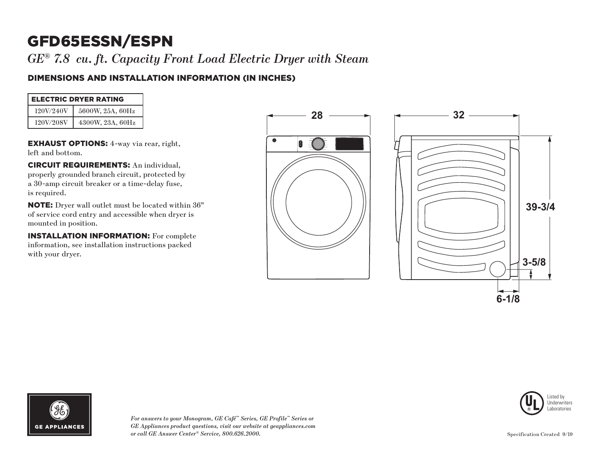*GE® 7.8 cu. ft. Capacity Front Load Electric Dryer with Steam*

### DIMENSIONS AND INSTALLATION INFORMATION (IN INCHES)

| <b>ELECTRIC DRYER RATING</b> |                  |  |  |
|------------------------------|------------------|--|--|
| 120V/240V                    | 5600W, 25A, 60Hz |  |  |
| 120V/208V                    | 4300W, 23A, 60Hz |  |  |

EXHAUST OPTIONS: 4-way via rear, right, left and bottom.

CIRCUIT REQUIREMENTS: An individual, properly grounded branch circuit, protected by a 30-amp circuit breaker or a time-delay fuse, is required.

NOTE: Dryer wall outlet must be located within 36" of service cord entry and accessible when dryer is mounted in position.

INSTALLATION INFORMATION: For complete information, see installation instructions packed with your dryer.









*For answers to your Monogram, GE Café™ Series, GE Profile™ Series or GE Appliances product questions, visit our website at geappliances.com or call GE Answer Center® Service, 800.626.2000.*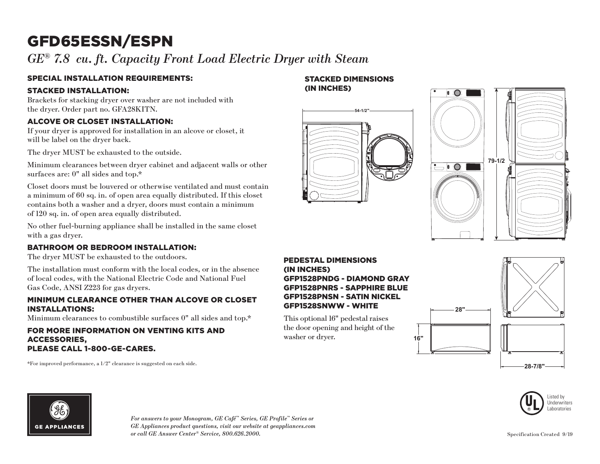## *GE® 7.8 cu. ft. Capacity Front Load Electric Dryer with Steam*

### SPECIAL INSTALLATION REQUIREMENTS:

### STACKED INSTALLATION:

Brackets for stacking dryer over washer are not included with the dryer. Order part no. GFA28KITN.

### ALCOVE OR CLOSET INSTALLATION:

If your dryer is approved for installation in an alcove or closet, it will be label on the dryer back.

The dryer MUST be exhausted to the outside.

Minimum clearances between dryer cabinet and adjacent walls or other surfaces are: 0" all sides and top.\*

Closet doors must be louvered or otherwise ventilated and must contain a minimum of 60 sq. in. of open area equally distributed. If this closet contains both a washer and a dryer, doors must contain a minimum of 120 sq. in. of open area equally distributed.

No other fuel-burning appliance shall be installed in the same closet with a gas dryer.

### BATHROOM OR BEDROOM INSTALLATION:

The dryer MUST be exhausted to the outdoors.

The installation must conform with the local codes, or in the absence of local codes, with the National Electric Code and National Fuel Gas Code, ANSI Z223 for gas dryers.

### MINIMUM CLEARANCE OTHER THAN ALCOVE OR CLOSET INSTALLATIONS:

Minimum clearances to combustible surfaces 0" all sides and top.\*

### FOR MORE INFORMATION ON VENTING KITS AND ACCESSORIES, PLEASE CALL 1-800-GE-CARES.

\*For improved performance, a 1/2" clearance is suggested on each side.

# (IN INCHES) **54-1/2"**

STACKED DIMENSIONS



### PEDESTAL DIMENSIONS (IN INCHES) GFP1528PNDG - DIAMOND GRAY GFP1528PNRS - SAPPHIRE BLUE GFP1528PNSN - SATIN NICKEL GFP1528SNWW - WHITE

This optional 16" pedestal raises the door opening and height of the washer or dryer.



**16"**



**GE APPLIANCES** 

*For answers to your Monogram, GE Café™ Series, GE Profile™ Series or GE Appliances product questions, visit our website at geappliances.com or call GE Answer Center® Service, 800.626.2000.* Specification Created 9/19

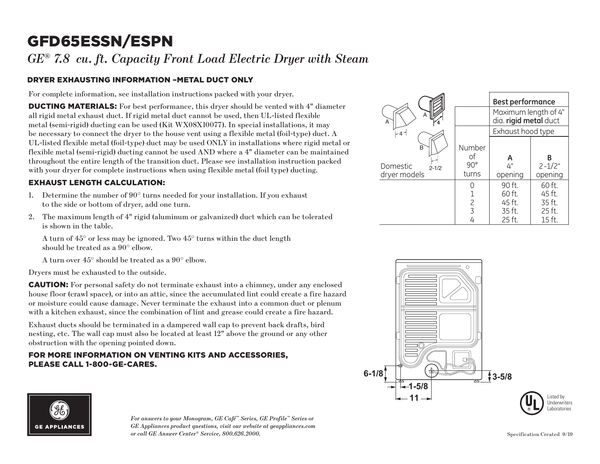### *GE® 7.8 cu. ft. Capacity Front Load Electric Dryer with Steam*

### DRYER EXHAUSTING INFORMATION –METAL DUCT ONLY

For complete information, see installation instructions packed with your dryer.

DUCTING MATERIALS: For best performance, this dryer should be vented with 4" diameter all rigid metal exhaust duct. If rigid metal duct cannot be used, then UL-listed flexible metal (semi-rigid) ducting can be used (Kit WX08X10077). In special installations, it may be necessary to connect the dryer to the house vent using a flexible metal (foil-type) duct. A UL-listed flexible metal (foil-type) duct may be used ONLY in installations where rigid metal or flexible metal (semi-rigid) ducting cannot be used AND where a 4" diameter can be maintained throughout the entire length of the transition duct. Please see installation instruction packed with your dryer for complete instructions when using flexible metal (foil type) ducting.

### EXHAUST LENGTH CALCULATION:

- 1. Determine the number of  $90^\circ$  turns needed for your installation. If you exhaust to the side or bottom of dryer, add one turn.
- 2. The maximum length of 4" rigid (aluminum or galvanized) duct which can be tolerated is shown in the table.

A turn of  $45^{\circ}$  or less may be ignored. Two  $45^{\circ}$  turns within the duct length should be treated as a 90° elbow.

A turn over 45° should be treated as a 90° elbow.

Dryers must be exhausted to the outside.

CAUTION: For personal safety do not terminate exhaust into a chimney, under any enclosed house floor (crawl space), or into an attic, since the accumulated lint could create a fire hazard or moisture could cause damage. Never terminate the exhaust into a common duct or plenum with a kitchen exhaust, since the combination of lint and grease could create a fire hazard.

Exhaust ducts should be terminated in a dampered wall cap to prevent back drafts, bird nesting, etc. The wall cap must also be located at least 12" above the ground or any other obstruction with the opening pointed down.

### FOR MORE INFORMATION ON VENTING KITS AND ACCESSORIES, PLEASE CALL 1-800-GE-CARES.

|                                            |                                       | <b>Best performance</b>                                            |                            |
|--------------------------------------------|---------------------------------------|--------------------------------------------------------------------|----------------------------|
| A<br>$\mathsf{A}$                          |                                       | Maximum length of 4"<br>dia. rigid metal duct<br>Exhaust hood type |                            |
| $-4-$                                      |                                       |                                                                    |                            |
| B<br>Domestic<br>$2 - 1/2$<br>dryer models | Number<br>of<br>$90^{\circ}$<br>turns | А<br>4"<br>opening                                                 | R<br>$2 - 1/2"$<br>opening |
|                                            |                                       | 90 ft.<br>60 ft.                                                   | 60 ft.<br>45 ft.           |
|                                            | 2                                     | 45 ft.                                                             | 35 ft.                     |
|                                            | $\overline{\mathcal{L}}$              | 35 ft.                                                             | 25 ft.                     |
|                                            |                                       | 25 ft.                                                             | 15 ft.                     |





*For answers to your Monogram, GE Café™ Series, GE Profile™ Series or GE Appliances product questions, visit our website at geappliances.com or call GE Answer Center® Service, 800.626.2000.* Specification Created 9/19